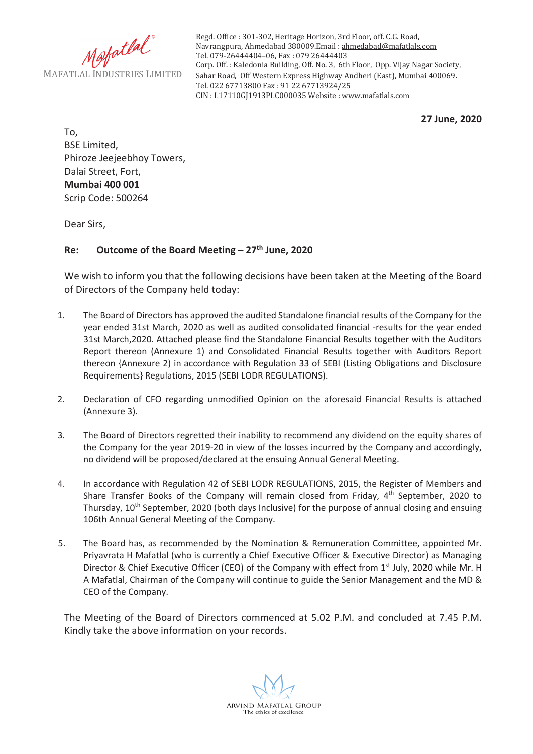

Regd. Office : 301-302, Heritage Horizon, 3rd Floor, off. C.G. Road, Navrangpura, Ahmedabad 380009.Email : ahmedabad@mafatlals.com Tel. 079-26444404–06, Fax : 079 26444403 Corp. Off. : Kaledonia Building, Off. No. 3, 6th Floor, Opp. Vijay Nagar Society, Sahar Road, Off Western Express Highway Andheri (East), Mumbai 400069. Tel. 022 67713800 Fax : 91 22 67713924/25 CIN : L17110GJ1913PLC000035 Website : www.mafatlals.com

**27 June, 2020**

To, BSE Limited, Phiroze Jeejeebhoy Towers, Dalai Street, Fort, **Mumbai 400 001** Scrip Code: 500264

Dear Sirs,

## **Re: Outcome of the Board Meeting – 27th June, 2020**

We wish to inform you that the following decisions have been taken at the Meeting of the Board of Directors of the Company held today:

- 1. The Board of Directors has approved the audited Standalone financial results of the Company for the year ended 31st March, 2020 as well as audited consolidated financial -results for the year ended 31st March,2020. Attached please find the Standalone Financial Results together with the Auditors Report thereon (Annexure 1) and Consolidated Financial Results together with Auditors Report thereon {Annexure 2) in accordance with Regulation 33 of SEBI (Listing Obligations and Disclosure Requirements} Regulations, 2015 (SEBI LODR REGULATIONS).
- 2. Declaration of CFO regarding unmodified Opinion on the aforesaid Financial Results is attached (Annexure 3).
- 3. The Board of Directors regretted their inability to recommend any dividend on the equity shares of the Company for the year 2019-20 in view of the losses incurred by the Company and accordingly, no dividend will be proposed/declared at the ensuing Annual General Meeting.
- 4. In accordance with Regulation 42 of SEBI LODR REGULATIONS, 2015, the Register of Members and Share Transfer Books of the Company will remain closed from Friday,  $4<sup>th</sup>$  September, 2020 to Thursday,  $10^{th}$  September, 2020 (both days Inclusive) for the purpose of annual closing and ensuing 106th Annual General Meeting of the Company.
- 5. The Board has, as recommended by the Nomination & Remuneration Committee, appointed Mr. Priyavrata H Mafatlal (who is currently a Chief Executive Officer & Executive Director) as Managing Director & Chief Executive Officer (CEO) of the Company with effect from 1<sup>st</sup> July, 2020 while Mr. H A Mafatlal, Chairman of the Company will continue to guide the Senior Management and the MD & CEO of the Company.

The Meeting of the Board of Directors commenced at 5.02 P.M. and concluded at 7.45 P.M. Kindly take the above information on your records.

ARVIND MAFATLAL GROUP The ethics of excellence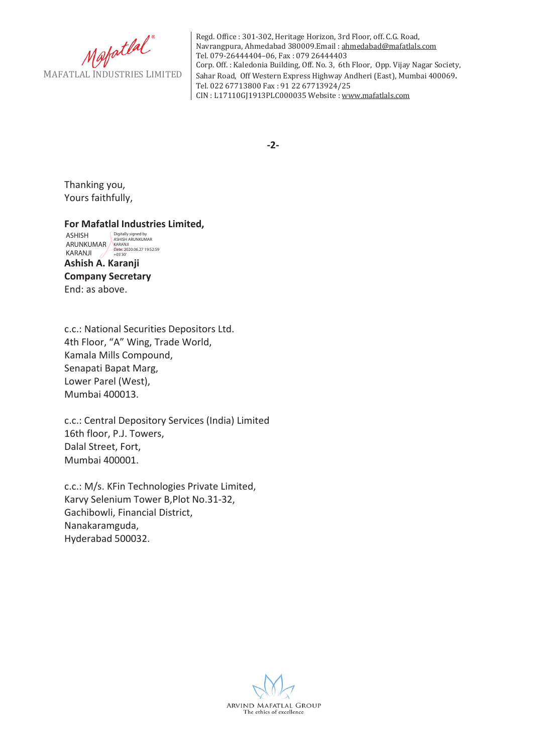Mafatlal

Regd. Office : 301-302, Heritage Horizon, 3rd Floor, off. C.G. Road, Navrangpura, Ahmedabad 380009.Email : ahmedabad@mafatlals.com Tel. 079-26444404–06, Fax : 079 26444403 Corp. Off. : Kaledonia Building, Off. No. 3, 6th Floor, Opp. Vijay Nagar Society, Sahar Road, Off Western Express Highway Andheri (East), Mumbai 400069. Tel. 022 67713800 Fax : 91 22 67713924/25 CIN : L17110GJ1913PLC000035 Website : www.mafatlals.com

**2***π* 

Thanking you, Yours faithfully,

### **For Mafatlal Industries Limited,**

**Ashish A. Karanji Company Secretary** End: as above. ASHISH ARUNKUMAR KARANJI Digitally signed by ASHISH ARUNKUMAR KARANJI Date: 2020.06.27 19:52:59 +05'30'

c.c.: National Securities Depositors Ltd. 4th Floor, "A" Wing, Trade World, Kamala Mills Compound, Senapati Bapat Marg, Lower Parel (West), Mumbai 400013.

c.c.: Central Depository Services (India) Limited 16th floor, P.J. Towers, Dalal Street, Fort, Mumbai 400001.

c.c.: M/s. KFin Technologies Private Limited, Karvy Selenium Tower B, Plot No.31-32, Gachibowli, Financial District, Nanakaramguda, Hyderabad 500032.

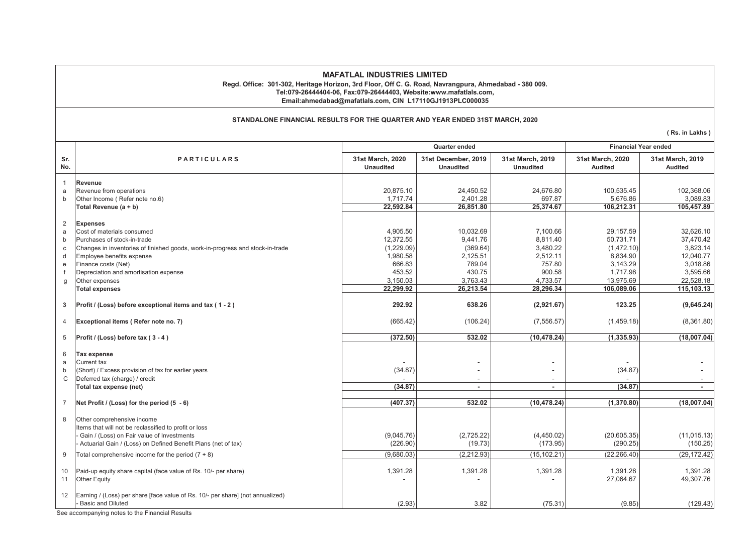#### **MAFATLAL INDUSTRIES LIMITED Regd. Office: 301-302, Heritage Horizon, 3rd Floor, Off C. G. Road, Navrangpura, Ahmedabad - 380 009. Tel:079-26444404-06, Fax:079-26444403, Website:www.mafatlals.com,**

**Email:ahmedabad@mafatlals.com, CIN L17110GJ1913PLC000035**

#### **STANDALONE FINANCIAL RESULTS FOR THE QUARTER AND YEAR ENDED 31ST MARCH, 2020**

**( Rs. in Lakhs )**

|                |                                                                                                            | Quarter ended                        |                                         |                                      | <b>Financial Year ended</b>        |                                    |  |
|----------------|------------------------------------------------------------------------------------------------------------|--------------------------------------|-----------------------------------------|--------------------------------------|------------------------------------|------------------------------------|--|
| Sr.<br>No.     | <b>PARTICULARS</b>                                                                                         | 31st March, 2020<br><b>Unaudited</b> | 31st December, 2019<br><b>Unaudited</b> | 31st March, 2019<br><b>Unaudited</b> | 31st March, 2020<br><b>Audited</b> | 31st March, 2019<br><b>Audited</b> |  |
| 1              | Revenue                                                                                                    |                                      |                                         |                                      |                                    |                                    |  |
| a              | Revenue from operations                                                                                    | 20,875.10                            | 24,450.52                               | 24,676.80                            | 100,535.45                         | 102,368.06                         |  |
| $\mathbf b$    | Other Income (Refer note no.6)                                                                             | 1.717.74                             | 2.401.28                                | 697.87                               | 5,676.86                           | 3,089.83                           |  |
|                | Total Revenue (a + b)                                                                                      | 22,592.84                            | 26,851.80                               | 25,374.67                            | 106,212.31                         | 105,457.89                         |  |
| 2              | <b>Expenses</b>                                                                                            |                                      |                                         |                                      |                                    |                                    |  |
| a              | Cost of materials consumed                                                                                 | 4,905.50                             | 10,032.69                               | 7,100.66                             | 29,157.59                          | 32,626.10                          |  |
| b              | Purchases of stock-in-trade                                                                                | 12,372.55                            | 9.441.76                                | 8,811.40                             | 50,731.71                          | 37,470.42                          |  |
| C              | Changes in inventories of finished goods, work-in-progress and stock-in-trade                              | (1,229.09)                           | (369.64)                                | 3,480.22                             | (1,472.10)                         | 3,823.14                           |  |
| d              | Employee benefits expense                                                                                  | 1,980.58                             | 2,125.51                                | 2,512.11                             | 8,834.90                           | 12,040.77                          |  |
| e              | Finance costs (Net)                                                                                        | 666.83                               | 789.04                                  | 757.80                               | 3,143.29                           | 3,018.86                           |  |
|                | Depreciation and amortisation expense                                                                      | 453.52                               | 430.75                                  | 900.58                               | 1,717.98                           | 3,595.66                           |  |
| $\mathfrak{g}$ | Other expenses                                                                                             | 3,150.03                             | 3,763.43                                | 4,733.57                             | 13,975.69                          | 22,528.18                          |  |
|                | <b>Total expenses</b>                                                                                      | 22,299.92                            | 26,213.54                               | 28,296.34                            | 106,089.06                         | 115,103.13                         |  |
| 3              | Profit / (Loss) before exceptional items and tax (1-2)                                                     | 292.92                               | 638.26                                  | (2,921.67)                           | 123.25                             | (9,645.24)                         |  |
| $\overline{4}$ | Exceptional items (Refer note no. 7)                                                                       | (665.42)                             | (106.24)                                | (7, 556.57)                          | (1,459.18)                         | (8,361.80)                         |  |
| 5              | Profit / (Loss) before tax (3-4)                                                                           | (372.50)                             | 532.02                                  | (10, 478.24)                         | (1, 335.93)                        | (18,007.04)                        |  |
| 6              | <b>Tax expense</b>                                                                                         |                                      |                                         |                                      |                                    |                                    |  |
| a              | <b>Current tax</b>                                                                                         |                                      |                                         |                                      |                                    |                                    |  |
| b              | (Short) / Excess provision of tax for earlier years                                                        | (34.87)                              |                                         |                                      | (34.87)                            |                                    |  |
| $\mathsf{C}$   | Deferred tax (charge) / credit                                                                             |                                      | $\sim$                                  | ٠                                    |                                    |                                    |  |
|                | Total tax expense (net)                                                                                    | (34.87)                              | $\blacksquare$                          | $\overline{\phantom{a}}$             | (34.87)                            | $\overline{\phantom{a}}$           |  |
| $\overline{7}$ | Net Profit / (Loss) for the period (5 - 6)                                                                 | (407.37)                             | 532.02                                  | (10, 478.24)                         | (1,370.80)                         | (18,007.04)                        |  |
|                |                                                                                                            |                                      |                                         |                                      |                                    |                                    |  |
| 8              | Other comprehensive income                                                                                 |                                      |                                         |                                      |                                    |                                    |  |
|                | Items that will not be reclassified to profit or loss<br>Gain / (Loss) on Fair value of Investments        | (9,045.76)                           | (2,725.22)                              | (4,450.02)                           | (20,605.35)                        | (11, 015.13)                       |  |
|                | Actuarial Gain / (Loss) on Defined Benefit Plans (net of tax)                                              | (226.90)                             | (19.73)                                 | (173.95)                             | (290.25)                           | (150.25)                           |  |
|                |                                                                                                            |                                      |                                         |                                      |                                    |                                    |  |
| 9              | Total comprehensive income for the period $(7 + 8)$                                                        | (9,680.03)                           | (2,212.93)                              | (15, 102.21)                         | (22, 266.40)                       | (29, 172.42)                       |  |
| 10<br>11       | Paid-up equity share capital (face value of Rs. 10/- per share)<br><b>Other Equity</b>                     | 1,391.28                             | 1,391.28                                | 1,391.28                             | 1,391.28<br>27,064.67              | 1,391.28<br>49,307.76              |  |
| 12             | Earning / (Loss) per share [face value of Rs. 10/- per share] (not annualized)<br><b>Basic and Diluted</b> | (2.93)                               | 3.82                                    | (75.31)                              | (9.85)                             | (129.43)                           |  |
|                | See accompanying notes to the Financial Results                                                            |                                      |                                         |                                      |                                    |                                    |  |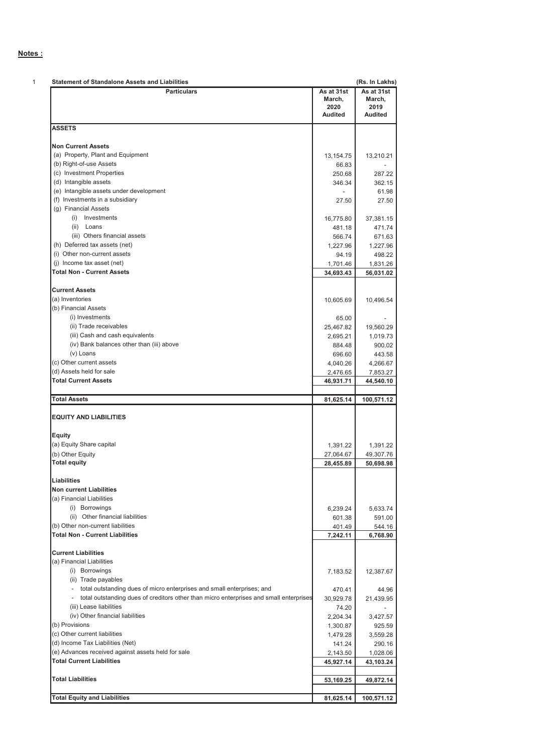### **Notes :**

| <b>Statement of Standalone Assets and Liabilities</b>                                  |                                                | (Rs. In Lakhs)                                                                                                                                   |
|----------------------------------------------------------------------------------------|------------------------------------------------|--------------------------------------------------------------------------------------------------------------------------------------------------|
| <b>Particulars</b>                                                                     | As at 31st<br>March,<br>2020<br><b>Audited</b> | As at 31st<br>March,<br>2019<br><b>Audited</b>                                                                                                   |
| <b>ASSETS</b>                                                                          |                                                |                                                                                                                                                  |
| <b>Non Current Assets</b>                                                              |                                                |                                                                                                                                                  |
| (a) Property, Plant and Equipment                                                      | 13,154.75                                      | 13,210.21                                                                                                                                        |
| (b) Right-of-use Assets                                                                | 66.83                                          |                                                                                                                                                  |
| (c) Investment Properties                                                              | 250.68                                         | 287.22                                                                                                                                           |
| (d) Intangible assets                                                                  | 346.34                                         | 362.15                                                                                                                                           |
| (e) Intangible assets under development                                                |                                                | 61.98                                                                                                                                            |
| (f) Investments in a subsidiary                                                        | 27.50                                          | 27.50                                                                                                                                            |
| (g) Financial Assets                                                                   |                                                |                                                                                                                                                  |
| (i) Investments                                                                        | 16,775.80                                      | 37,381.15                                                                                                                                        |
| (ii) Loans                                                                             | 481.18                                         | 471.74                                                                                                                                           |
| (iii) Others financial assets                                                          | 566.74                                         | 671.63                                                                                                                                           |
| (h) Deferred tax assets (net)                                                          | 1,227.96                                       | 1,227.96                                                                                                                                         |
| (i) Other non-current assets                                                           | 94.19                                          | 498.22                                                                                                                                           |
| (i) Income tax asset (net)                                                             | 1,701.46                                       | 1.831.26                                                                                                                                         |
| <b>Total Non - Current Assets</b>                                                      | 34,693.43                                      | 56,031.02                                                                                                                                        |
|                                                                                        |                                                |                                                                                                                                                  |
| <b>Current Assets</b>                                                                  |                                                |                                                                                                                                                  |
| (a) Inventories                                                                        | 10,605.69                                      | 10,496.54                                                                                                                                        |
| (b) Financial Assets                                                                   |                                                |                                                                                                                                                  |
| (i) Investments                                                                        | 65.00                                          |                                                                                                                                                  |
| (ii) Trade receivables                                                                 | 25,467.82                                      | 19,560.29                                                                                                                                        |
| (iii) Cash and cash equivalents                                                        | 2,695.21                                       | 1,019.73                                                                                                                                         |
| (iv) Bank balances other than (iii) above                                              | 884.48                                         | 900.02                                                                                                                                           |
| (v) Loans                                                                              | 696.60                                         | 443.58                                                                                                                                           |
| (c) Other current assets                                                               | 4,040.26                                       | 4,266.67                                                                                                                                         |
|                                                                                        |                                                |                                                                                                                                                  |
|                                                                                        |                                                |                                                                                                                                                  |
| (d) Assets held for sale                                                               | 2,476.65                                       |                                                                                                                                                  |
| <b>Total Current Assets</b>                                                            | 46,931.71                                      |                                                                                                                                                  |
|                                                                                        |                                                | 7,853.27<br>44,540.10                                                                                                                            |
| <b>Total Assets</b>                                                                    | 81,625.14                                      | 100,571.12                                                                                                                                       |
| <b>EQUITY AND LIABILITIES</b>                                                          |                                                |                                                                                                                                                  |
| Equity                                                                                 |                                                |                                                                                                                                                  |
| (a) Equity Share capital                                                               |                                                |                                                                                                                                                  |
|                                                                                        | 1,391.22                                       |                                                                                                                                                  |
| (b) Other Equity                                                                       | 27,064.67                                      | 1,391.22<br>49,307.76                                                                                                                            |
| <b>Total equity</b>                                                                    | 28,455.89                                      | 50,698.98                                                                                                                                        |
| Liabilities                                                                            |                                                |                                                                                                                                                  |
|                                                                                        |                                                |                                                                                                                                                  |
|                                                                                        |                                                |                                                                                                                                                  |
| (a) Financial Liabilities                                                              |                                                |                                                                                                                                                  |
| (i) Borrowings                                                                         | 6,239.24                                       |                                                                                                                                                  |
| <b>Non current Liabilities</b><br>(ii) Other financial liabilities                     | 601.38                                         |                                                                                                                                                  |
| (b) Other non-current liabilities                                                      | 401.49                                         |                                                                                                                                                  |
| <b>Total Non - Current Liabilities</b>                                                 | 7,242.11                                       |                                                                                                                                                  |
|                                                                                        |                                                |                                                                                                                                                  |
| <b>Current Liabilities</b>                                                             |                                                |                                                                                                                                                  |
| (a) Financial Liabilities                                                              |                                                |                                                                                                                                                  |
| (i) Borrowings                                                                         | 7,183.52                                       |                                                                                                                                                  |
| (ii) Trade payables                                                                    |                                                |                                                                                                                                                  |
| total outstanding dues of micro enterprises and small enterprises; and<br>$\sim$       | 470.41                                         |                                                                                                                                                  |
| total outstanding dues of creditors other than micro enterprises and small enterprises | 30,929.78                                      |                                                                                                                                                  |
| (iii) Lease liabilities                                                                | 74.20                                          |                                                                                                                                                  |
| (iv) Other financial liabilities                                                       | 2,204.34                                       |                                                                                                                                                  |
| (b) Provisions                                                                         | 1,300.87                                       |                                                                                                                                                  |
|                                                                                        | 1,479.28                                       |                                                                                                                                                  |
| (c) Other current liabilities<br>(d) Income Tax Liabilities (Net)                      | 141.24                                         |                                                                                                                                                  |
| (e) Advances received against assets held for sale                                     | 2,143.50                                       |                                                                                                                                                  |
| <b>Total Current Liabilities</b>                                                       | 45,927.14                                      |                                                                                                                                                  |
|                                                                                        |                                                | 5,633.74<br>591.00<br>544.16<br>6,768.90<br>12,387.67<br>44.96<br>21,439.95<br>3,427.57<br>925.59<br>3,559.28<br>290.16<br>1,028.06<br>43,103.24 |
| <b>Total Liabilities</b>                                                               | 53,169.25                                      | 49,872.14                                                                                                                                        |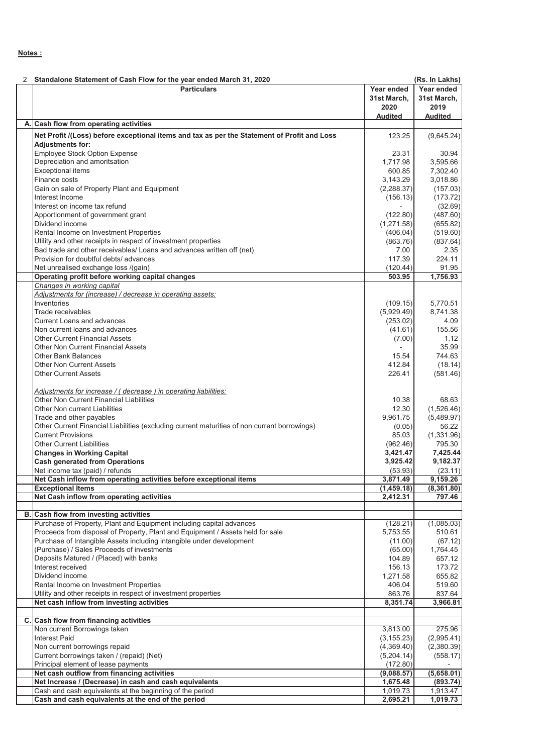### **Notes :**

|     | Standalone Statement of Cash Flow for the year ended March 31, 2020                                            |                        | (Rs. In Lakhs)       |
|-----|----------------------------------------------------------------------------------------------------------------|------------------------|----------------------|
|     | <b>Particulars</b>                                                                                             | Year ended             | Year ended           |
|     |                                                                                                                | 31st March,            | 31st March,          |
|     |                                                                                                                | 2020                   | 2019                 |
|     |                                                                                                                | <b>Audited</b>         | <b>Audited</b>       |
| A.I | Cash flow from operating activities                                                                            |                        |                      |
|     | Net Profit /(Loss) before exceptional items and tax as per the Statement of Profit and Loss                    | 123.25                 | (9,645.24)           |
|     | <b>Adjustments for:</b>                                                                                        |                        |                      |
|     | Employee Stock Option Expense                                                                                  | 23.31                  | 30.94                |
|     | Depreciation and amoritsation                                                                                  | 1,717.98               | 3,595.66             |
|     | <b>Exceptional items</b>                                                                                       | 600.85                 | 7,302.40             |
|     | Finance costs                                                                                                  | 3,143.29               | 3,018.86             |
|     | Gain on sale of Property Plant and Equipment                                                                   | (2,288.37)             | (157.03)             |
|     | Interest Income                                                                                                | (156.13)               | (173.72)             |
|     | Interest on income tax refund                                                                                  | $\overline{a}$         | (32.69)              |
|     | Apportionment of government grant<br>Dividend income                                                           | (122.80)<br>(1,271.58) | (487.60)<br>(655.82) |
|     | Rental Income on Investment Properties                                                                         |                        |                      |
|     | Utility and other receipts in respect of investment properties                                                 | (406.04)<br>(863.76)   | (519.60)             |
|     | Bad trade and other receivables/ Loans and advances written off (net)                                          | 7.00                   | (837.64)<br>2.35     |
|     | Provision for doubtful debts/advances                                                                          | 117.39                 | 224.11               |
|     | Net unrealised exchange loss /(gain)                                                                           | (120.44)               | 91.95                |
|     | Operating profit before working capital changes                                                                | 503.95                 | 1,756.93             |
|     | Changes in working capital                                                                                     |                        |                      |
|     | Adjustments for (increase) / decrease in operating assets:                                                     |                        |                      |
|     | Inventories                                                                                                    | (109.15)               | 5,770.51             |
|     | Trade receivables                                                                                              | (5,929.49)             | 8,741.38             |
|     | <b>Current Loans and advances</b>                                                                              | (253.02)               | 4.09                 |
|     | Non current loans and advances                                                                                 | (41.61)                | 155.56               |
|     | <b>Other Current Financial Assets</b>                                                                          | (7.00)                 | 1.12                 |
|     | <b>Other Non Current Financial Assets</b>                                                                      |                        | 35.99                |
|     | <b>Other Bank Balances</b>                                                                                     | 15.54                  | 744.63               |
|     | <b>Other Non Current Assets</b>                                                                                | 412.84                 | (18.14)              |
|     | <b>Other Current Assets</b>                                                                                    | 226.41                 | (581.46)             |
|     |                                                                                                                |                        |                      |
|     | Adjustments for increase / (decrease) in operating liabilities:                                                |                        |                      |
|     | Other Non Current Financial Liabilities                                                                        | 10.38                  | 68.63                |
|     | Other Non current Liabilities                                                                                  | 12.30                  | (1,526.46)           |
|     | Trade and other payables                                                                                       | 9,961.75               | (5,489.97)           |
|     | Other Current Financial Liabilities (excluding current maturities of non current borrowings)                   | (0.05)                 | 56.22                |
|     | <b>Current Provisions</b>                                                                                      | 85.03                  | (1,331.96)           |
|     | <b>Other Current Liabilities</b>                                                                               | (962.46)               | 795.30               |
|     | <b>Changes in Working Capital</b>                                                                              | 3,421.47               | 7,425.44             |
|     | <b>Cash generated from Operations</b>                                                                          | 3,925.42               | 9,182.37             |
|     | Net income tax (paid) / refunds                                                                                | (53.93)                | (23.11)              |
|     | Net Cash inflow from operating activities before exceptional items                                             | 3,871.49               | 9,159.26             |
|     | <b>Exceptional Items</b>                                                                                       | (1,459.18)             | (8, 361.80)          |
|     | Net Cash inflow from operating activities                                                                      | 2,412.31               | 797.46               |
|     |                                                                                                                |                        |                      |
|     | B. Cash flow from investing activities<br>Purchase of Property, Plant and Equipment including capital advances |                        | (1,085.03)           |
|     | Proceeds from disposal of Property, Plant and Equipment / Assets held for sale                                 | (128.21)<br>5,753.55   | 510.61               |
|     | Purchase of Intangible Assets including intangible under development                                           | (11.00)                | (67.12)              |
|     | (Purchase) / Sales Proceeds of investments                                                                     | (65.00)                | 1,764.45             |
|     | Deposits Matured / (Placed) with banks                                                                         | 104.89                 | 657.12               |
|     | Interest received                                                                                              | 156.13                 | 173.72               |
|     | Dividend income                                                                                                | 1,271.58               | 655.82               |
|     | Rental Income on Investment Properties                                                                         | 406.04                 | 519.60               |
|     | Utility and other receipts in respect of investment properties                                                 | 863.76                 | 837.64               |
|     | Net cash inflow from investing activities                                                                      | 8,351.74               | 3,966.81             |
|     |                                                                                                                |                        |                      |
|     | C. Cash flow from financing activities                                                                         |                        |                      |
|     | Non current Borrowings taken                                                                                   | 3,813.00               | 275.96               |
|     | <b>Interest Paid</b>                                                                                           | (3, 155.23)            | (2,995.41)           |
|     | Non current borrowings repaid                                                                                  | (4,369.40)             | (2,380.39)           |
|     | Current borrowings taken / (repaid) (Net)                                                                      | (5,204.14)             | (558.17)             |
|     | Principal element of lease payments                                                                            | (172.80)               |                      |
|     | Net cash outflow from financing activities                                                                     | (9,088.57)             | (5,658.01)           |
|     | Net Increase / (Decrease) in cash and cash equivalents                                                         | 1,675.48               | (893.74)             |
|     | Cash and cash equivalents at the beginning of the period                                                       | 1,019.73               | 1,913.47             |
|     | Cash and cash equivalents at the end of the period                                                             | 2,695.21               | 1,019.73             |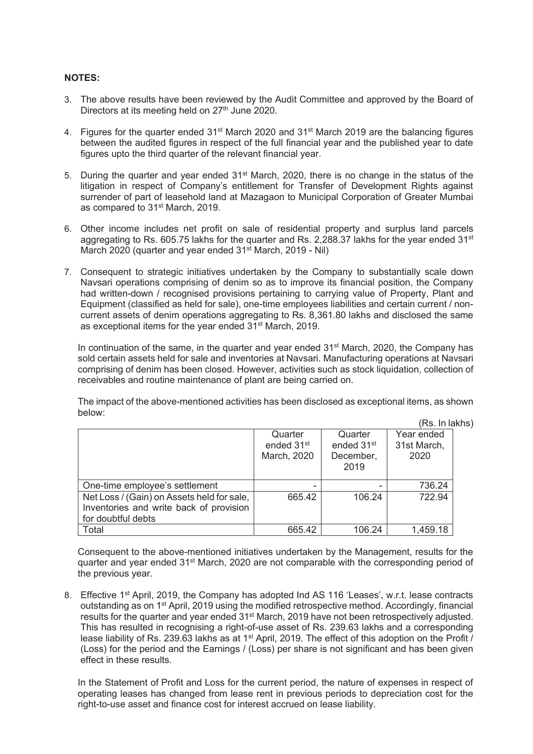### **NOTES:**

- 3. The above results have been reviewed by the Audit Committee and approved by the Board of Directors at its meeting held on  $27<sup>th</sup>$  June 2020.
- 4. Figures for the quarter ended 31<sup>st</sup> March 2020 and 31<sup>st</sup> March 2019 are the balancing figures between the audited figures in respect of the full financial year and the published year to date figures upto the third quarter of the relevant financial year.
- 5. During the quarter and year ended 31<sup>st</sup> March, 2020, there is no change in the status of the litigation in respect of Company's entitlement for Transfer of Development Rights against surrender of part of leasehold land at Mazagaon to Municipal Corporation of Greater Mumbai as compared to 31st March, 2019.
- 6. Other income includes net profit on sale of residential property and surplus land parcels aggregating to Rs. 605.75 lakhs for the quarter and Rs. 2,288.37 lakhs for the year ended 31<sup>st</sup> March 2020 (quarter and year ended 31<sup>st</sup> March, 2019 - Nil)
- 7. Consequent to strategic initiatives undertaken by the Company to substantially scale down Navsari operations comprising of denim so as to improve its financial position, the Company had written-down / recognised provisions pertaining to carrying value of Property, Plant and Equipment (classified as held for sale), one-time employees liabilities and certain current / noncurrent assets of denim operations aggregating to Rs. 8,361.80 lakhs and disclosed the same as exceptional items for the year ended 31st March, 2019.

In continuation of the same, in the quarter and year ended 31<sup>st</sup> March, 2020, the Company has sold certain assets held for sale and inventories at Navsari. Manufacturing operations at Navsari comprising of denim has been closed. However, activities such as stock liquidation, collection of receivables and routine maintenance of plant are being carried on.

The impact of the above-mentioned activities has been disclosed as exceptional items, as shown below:

(Rs. In lakhs)

|                                            |                        |                        | 183. III 14 |
|--------------------------------------------|------------------------|------------------------|-------------|
|                                            | Quarter                | Quarter                | Year ended  |
|                                            | ended 31 <sup>st</sup> | ended 31 <sup>st</sup> | 31st March, |
|                                            | March, 2020            | December,              | 2020        |
|                                            |                        | 2019                   |             |
|                                            |                        |                        |             |
| One-time employee's settlement             |                        |                        | 736.24      |
| Net Loss / (Gain) on Assets held for sale, | 665.42                 | 106.24                 | 722.94      |
| Inventories and write back of provision    |                        |                        |             |
| for doubtful debts                         |                        |                        |             |
| Total                                      | 665.42                 | 106.24                 | 1,459.18    |

Consequent to the above-mentioned initiatives undertaken by the Management, results for the quarter and year ended 31<sup>st</sup> March, 2020 are not comparable with the corresponding period of the previous year.

8. Effective 1<sup>st</sup> April, 2019, the Company has adopted Ind AS 116 'Leases', w.r.t. lease contracts outstanding as on 1st April, 2019 using the modified retrospective method. Accordingly, financial results for the quarter and year ended 31<sup>st</sup> March, 2019 have not been retrospectively adjusted. This has resulted in recognising a right-of-use asset of Rs. 239.63 lakhs and a corresponding lease liability of Rs. 239.63 lakhs as at 1<sup>st</sup> April, 2019. The effect of this adoption on the Profit / (Loss) for the period and the Earnings / (Loss) per share is not significant and has been given effect in these results.

In the Statement of Profit and Loss for the current period, the nature of expenses in respect of operating leases has changed from lease rent in previous periods to depreciation cost for the right-to-use asset and finance cost for interest accrued on lease liability.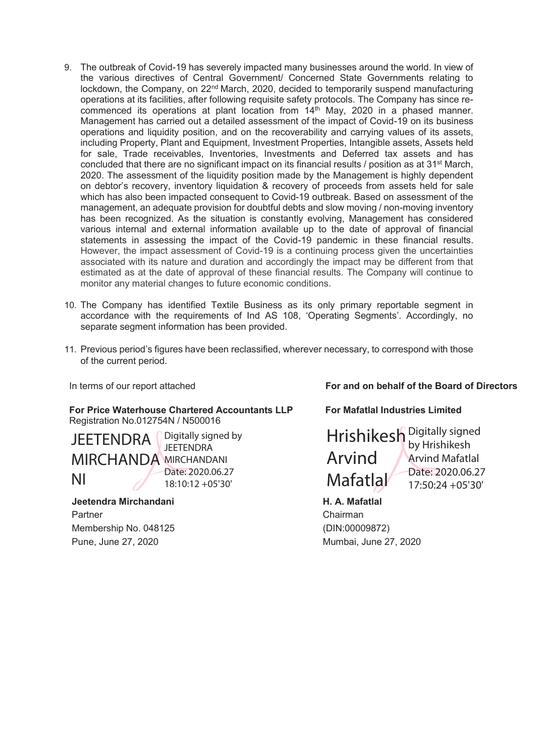- 9. The outbreak of Covid-19 has severely impacted many businesses around the world. In view of the various directives of Central Government/ Concerned State Governments relating to lockdown, the Company, on 22<sup>nd</sup> March, 2020, decided to temporarily suspend manufacturing operations at its facilities, after following requisite safety protocols. The Company has since recommenced its operations at plant location from  $14<sup>th</sup>$  May, 2020 in a phased manner. Management has carried out a detailed assessment of the impact of Covid-19 on its business operations and liquidity position, and on the recoverability and carrying values of its assets, including Property, Plant and Equipment, Investment Properties, Intangible assets, Assets held for sale, Trade receivables, Inventories, Investments and Deferred tax assets and has concluded that there are no significant impact on its financial results  $/$  position as at 31<sup>st</sup> March, 2020. The assessment of the liquidity position made by the Management is highly dependent on debtor's recovery, inventory liquidation & recovery of proceeds from assets held for sale which has also been impacted consequent to Covid-19 outbreak. Based on assessment of the management, an adequate provision for doubtful debts and slow moving / non-moving inventory has been recognized. As the situation is constantly evolving, Management has considered various internal and external information available up to the date of approval of financial statements in assessing the impact of the Covid-19 pandemic in these financial results. However, the impact assessment of Covid-19 is a continuing process given the uncertainties associated with its nature and duration and accordingly the impact may be different from that estimated as at the date of approval of these financial results. The Company will continue to monitor any material changes to future economic conditions.
- 10. The Company has identified Textile Business as its only primary reportable segment in accordance with the requirements of Ind AS 108, 'Operating Segments'. Accordingly, no separate segment information has been provided.
- 11. Previous period's figures have been reclassified, wherever necessary, to correspond with those of the current period.

**For Price Waterhouse Chartered Accountants LLP** Registration No.012754N / N500016

JEETENDRA MIRCHANDA MIRCHANDANI NI Digitally signed by **JEFTENDRA** Date: 2020.06.27 18:10:12 +05'30'

 **Jeetendra Mirchandani A. A. Mafatlal A. Mafatlal** Partner Chairman Membership No. 048125 (DIN:00009872) Pune, June 27, 2020 Mumbai, June 27, 2020

In terms of our report attached **For and on behalf of the Board of Directors** 

 **For Mafatlal Industries Limited** 

Hrishikesh Digitally signed Arvind **Mafatlal** by Hrishikesh Arvind Mafatlal Date: 2020.06.27 17:50:24 +05'30'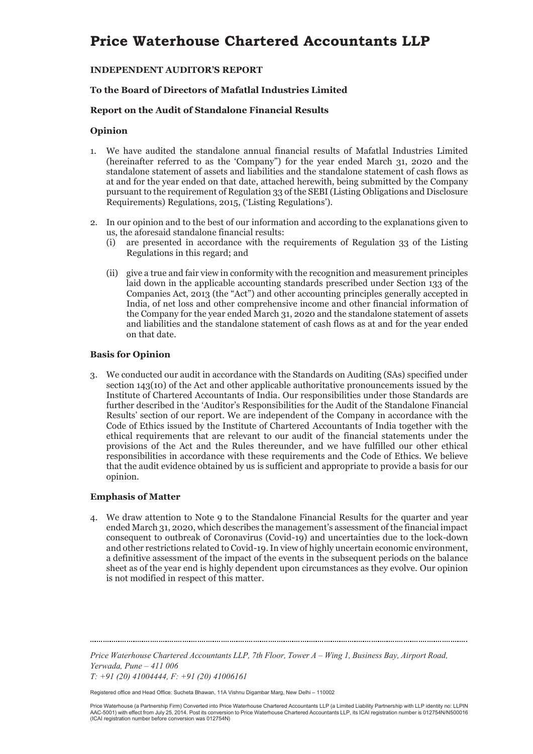### **INDEPENDENT AUDITOR'S REPORT**

### **To the Board of Directors of Mafatlal Industries Limited**

### **Report on the Audit of Standalone Financial Results**

### **Opinion**

- 1. We have audited the standalone annual financial results of Mafatlal Industries Limited (hereinafter referred to as the 'Company") for the year ended March 31, 2020 and the standalone statement of assets and liabilities and the standalone statement of cash flows as at and for the year ended on that date, attached herewith, being submitted by the Company pursuant to the requirement of Regulation 33 of the SEBI (Listing Obligations and Disclosure Requirements) Regulations, 2015, ('Listing Regulations').
- 2. In our opinion and to the best of our information and according to the explanations given to us, the aforesaid standalone financial results:
	- (i) are presented in accordance with the requirements of Regulation 33 of the Listing Regulations in this regard; and
	- (ii) give a true and fair view in conformity with the recognition and measurement principles laid down in the applicable accounting standards prescribed under Section 133 of the Companies Act, 2013 (the "Act") and other accounting principles generally accepted in India, of net loss and other comprehensive income and other financial information of the Company for the year ended March 31, 2020 and the standalone statement of assets and liabilities and the standalone statement of cash flows as at and for the year ended on that date.

### **Basis for Opinion**

3. We conducted our audit in accordance with the Standards on Auditing (SAs) specified under section 143(10) of the Act and other applicable authoritative pronouncements issued by the Institute of Chartered Accountants of India. Our responsibilities under those Standards are further described in the 'Auditor's Responsibilities for the Audit of the Standalone Financial Results' section of our report. We are independent of the Company in accordance with the Code of Ethics issued by the Institute of Chartered Accountants of India together with the ethical requirements that are relevant to our audit of the financial statements under the provisions of the Act and the Rules thereunder, and we have fulfilled our other ethical responsibilities in accordance with these requirements and the Code of Ethics. We believe that the audit evidence obtained by us is sufficient and appropriate to provide a basis for our opinion.

### **Emphasis of Matter**

4. We draw attention to Note 9 to the Standalone Financial Results for the quarter and year ended March 31, 2020, which describes the management's assessment of the financial impact consequent to outbreak of Coronavirus (Covid-19) and uncertainties due to the lock-down and other restrictions related to Covid-19. In view of highly uncertain economic environment, a definitive assessment of the impact of the events in the subsequent periods on the balance sheet as of the year end is highly dependent upon circumstances as they evolve. Our opinion is not modified in respect of this matter.

*Price Waterhouse Chartered Accountants LLP, 7th Floor, Tower A – Wing 1, Business Bay, Airport Road, Yerwada, Pune – 411 006* 

*T: +91 (20) 41004444, F: +91 (20) 41006161* 

Registered office and Head Office: Sucheta Bhawan, 11A Vishnu Digambar Marg, New Delhi – 110002

Price Waterhouse (a Partnership Firm) Converted into Price Waterhouse Chartered Accountants LLP (a Limited Liability Partnership with LLP identity no: LLPIN AAC-5001) with effect from July 25, 2014. Post its conversion to Price Waterhouse Chartered Accountants LLP, its ICAI registration number is 012754N/N500016 (ICAI registration number before conversion was 012754N)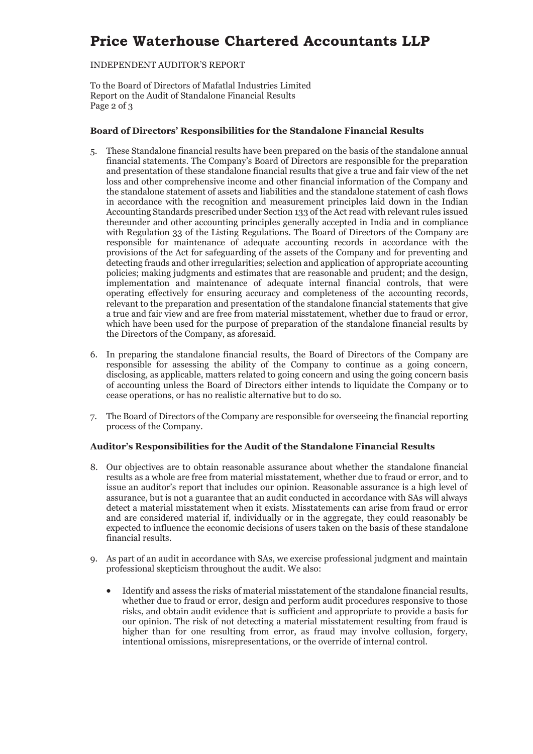### INDEPENDENT AUDITOR'S REPORT

To the Board of Directors of Mafatlal Industries Limited Report on the Audit of Standalone Financial Results Page 2 of 3

### **Board of Directors' Responsibilities for the Standalone Financial Results**

- 5. These Standalone financial results have been prepared on the basis of the standalone annual financial statements. The Company's Board of Directors are responsible for the preparation and presentation of these standalone financial results that give a true and fair view of the net loss and other comprehensive income and other financial information of the Company and the standalone statement of assets and liabilities and the standalone statement of cash flows in accordance with the recognition and measurement principles laid down in the Indian Accounting Standards prescribed under Section 133 of the Act read with relevant rules issued thereunder and other accounting principles generally accepted in India and in compliance with Regulation 33 of the Listing Regulations. The Board of Directors of the Company are responsible for maintenance of adequate accounting records in accordance with the provisions of the Act for safeguarding of the assets of the Company and for preventing and detecting frauds and other irregularities; selection and application of appropriate accounting policies; making judgments and estimates that are reasonable and prudent; and the design, implementation and maintenance of adequate internal financial controls, that were operating effectively for ensuring accuracy and completeness of the accounting records, relevant to the preparation and presentation of the standalone financial statements that give a true and fair view and are free from material misstatement, whether due to fraud or error, which have been used for the purpose of preparation of the standalone financial results by the Directors of the Company, as aforesaid.
- 6. In preparing the standalone financial results, the Board of Directors of the Company are responsible for assessing the ability of the Company to continue as a going concern, disclosing, as applicable, matters related to going concern and using the going concern basis of accounting unless the Board of Directors either intends to liquidate the Company or to cease operations, or has no realistic alternative but to do so.
- 7. The Board of Directors of the Company are responsible for overseeing the financial reporting process of the Company.

### **Auditor's Responsibilities for the Audit of the Standalone Financial Results**

- 8. Our objectives are to obtain reasonable assurance about whether the standalone financial results as a whole are free from material misstatement, whether due to fraud or error, and to issue an auditor's report that includes our opinion. Reasonable assurance is a high level of assurance, but is not a guarantee that an audit conducted in accordance with SAs will always detect a material misstatement when it exists. Misstatements can arise from fraud or error and are considered material if, individually or in the aggregate, they could reasonably be expected to influence the economic decisions of users taken on the basis of these standalone financial results.
- 9. As part of an audit in accordance with SAs, we exercise professional judgment and maintain professional skepticism throughout the audit. We also:
	- Identify and assess the risks of material misstatement of the standalone financial results, whether due to fraud or error, design and perform audit procedures responsive to those risks, and obtain audit evidence that is sufficient and appropriate to provide a basis for our opinion. The risk of not detecting a material misstatement resulting from fraud is higher than for one resulting from error, as fraud may involve collusion, forgery, intentional omissions, misrepresentations, or the override of internal control.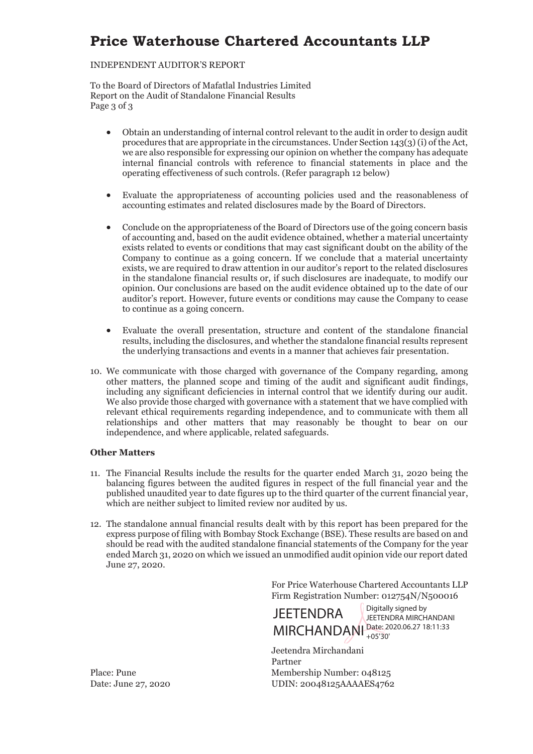### INDEPENDENT AUDITOR'S REPORT

To the Board of Directors of Mafatlal Industries Limited Report on the Audit of Standalone Financial Results Page 3 of 3

- x Obtain an understanding of internal control relevant to the audit in order to design audit procedures that are appropriate in the circumstances. Under Section 143(3) (i) of the Act, we are also responsible for expressing our opinion on whether the company has adequate internal financial controls with reference to financial statements in place and the operating effectiveness of such controls. (Refer paragraph 12 below)
- x Evaluate the appropriateness of accounting policies used and the reasonableness of accounting estimates and related disclosures made by the Board of Directors.
- x Conclude on the appropriateness of the Board of Directors use of the going concern basis of accounting and, based on the audit evidence obtained, whether a material uncertainty exists related to events or conditions that may cast significant doubt on the ability of the Company to continue as a going concern. If we conclude that a material uncertainty exists, we are required to draw attention in our auditor's report to the related disclosures in the standalone financial results or, if such disclosures are inadequate, to modify our opinion. Our conclusions are based on the audit evidence obtained up to the date of our auditor's report. However, future events or conditions may cause the Company to cease to continue as a going concern.
- Evaluate the overall presentation, structure and content of the standalone financial results, including the disclosures, and whether the standalone financial results represent the underlying transactions and events in a manner that achieves fair presentation.
- 10. We communicate with those charged with governance of the Company regarding, among other matters, the planned scope and timing of the audit and significant audit findings, including any significant deficiencies in internal control that we identify during our audit. We also provide those charged with governance with a statement that we have complied with relevant ethical requirements regarding independence, and to communicate with them all relationships and other matters that may reasonably be thought to bear on our independence, and where applicable, related safeguards.

### **Other Matters**

- 11. The Financial Results include the results for the quarter ended March 31, 2020 being the balancing figures between the audited figures in respect of the full financial year and the published unaudited year to date figures up to the third quarter of the current financial year, which are neither subject to limited review nor audited by us.
- 12. The standalone annual financial results dealt with by this report has been prepared for the express purpose of filing with Bombay Stock Exchange (BSE). These results are based on and should be read with the audited standalone financial statements of the Company for the year ended March 31, 2020 on which we issued an unmodified audit opinion vide our report dated June 27, 2020.

For Price Waterhouse Chartered Accountants LLP Firm Registration Number: 012754N/N500016



Jeetendra Mirchandani Partner Place: Pune Membership Number: 048125 Date: June 27, 2020 UDIN: 20048125AAAAES4762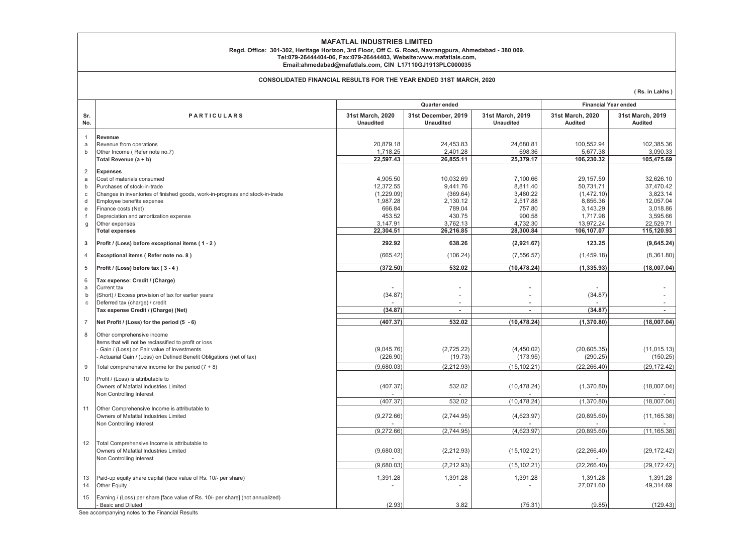#### **MAFATLAL INDUSTRIES LIMITED**

## **Email:ahmedabad@mafatlals.com, CIN L17110GJ1913PLC000035 Regd. Office: 301-302, Heritage Horizon, 3rd Floor, Off C. G. Road, Navrangpura, Ahmedabad - 380 009. Tel:079-26444404-06, Fax:079-26444403, Website:www.mafatlals.com,**

#### **CONSOLIDATED FINANCIAL RESULTS FOR THE YEAR ENDED 31ST MARCH, 2020**

**( Rs. in Lakhs )**

|                                                                 |                                                                                                                                                                                                                   | Quarter ended                                             |                                                         |                                                        | <b>Financial Year ended</b>                                  |                                                             |  |
|-----------------------------------------------------------------|-------------------------------------------------------------------------------------------------------------------------------------------------------------------------------------------------------------------|-----------------------------------------------------------|---------------------------------------------------------|--------------------------------------------------------|--------------------------------------------------------------|-------------------------------------------------------------|--|
| Sr.<br>No.                                                      | <b>PARTICULARS</b>                                                                                                                                                                                                | 31st March, 2020<br><b>Unaudited</b>                      | 31st December, 2019<br><b>Unaudited</b>                 | 31st March, 2019<br><b>Unaudited</b>                   | 31st March, 2020<br><b>Audited</b>                           | 31st March, 2019<br>Audited                                 |  |
| $\mathbf{1}$<br>a<br>b                                          | Revenue<br>Revenue from operations<br>Other Income (Refer note no.7)<br>Total Revenue (a + b)                                                                                                                     | 20.879.18<br>1,718.25<br>22,597.43                        | 24.453.83<br>2,401.28<br>26,855.11                      | 24.680.81<br>698.36<br>25,379.17                       | 100.552.94<br>5,677.38<br>106,230.32                         | 102.385.36<br>3,090.33<br>105,475.69                        |  |
| $\overline{2}$<br>a<br>$\mathsf{b}$<br>C<br>d<br>$\mathsf{e}\,$ | <b>Expenses</b><br>Cost of materials consumed<br>Purchases of stock-in-trade<br>Changes in inventories of finished goods, work-in-progress and stock-in-trade<br>Employee benefits expense<br>Finance costs (Net) | 4,905.50<br>12,372.55<br>(1,229.09)<br>1,987.28<br>666.84 | 10.032.69<br>9,441.76<br>(369.64)<br>2,130.12<br>789.04 | 7.100.66<br>8,811.40<br>3,480.22<br>2,517.88<br>757.80 | 29.157.59<br>50,731.71<br>(1,472.10)<br>8,856.36<br>3,143.29 | 32.626.10<br>37,470.42<br>3,823.14<br>12,057.04<br>3,018.86 |  |
| f<br>g                                                          | Depreciation and amortization expense<br>Other expenses<br><b>Total expenses</b>                                                                                                                                  | 453.52<br>3,147.91<br>22,304.51                           | 430.75<br>3,762.13<br>26,216.85                         | 900.58<br>4,732.30<br>28,300.84                        | 1,717.98<br>13,972.24<br>106,107.07                          | 3,595.66<br>22,529.71<br>115,120.93                         |  |
| 3                                                               | Profit / (Loss) before exceptional items (1-2)                                                                                                                                                                    | 292.92                                                    | 638.26                                                  | (2,921.67)                                             | 123.25                                                       | (9,645.24)                                                  |  |
| $\overline{4}$                                                  | Exceptional items (Refer note no. 8)                                                                                                                                                                              | (665.42)                                                  | (106.24)                                                | (7, 556.57)                                            | (1,459.18)                                                   | (8,361.80)                                                  |  |
| 5                                                               | Profit / (Loss) before tax (3-4)                                                                                                                                                                                  | (372.50)                                                  | 532.02                                                  | (10, 478.24)                                           | (1, 335.93)                                                  | (18,007.04)                                                 |  |
| 6<br>a<br>b<br>$\mathbf{C}$                                     | Tax expense: Credit / (Charge)<br>Current tax<br>(Short) / Excess provision of tax for earlier years<br>Deferred tax (charge) / credit                                                                            | (34.87)                                                   |                                                         | $\overline{a}$                                         | (34.87)                                                      |                                                             |  |
|                                                                 | Tax expense Credit / (Charge) (Net)                                                                                                                                                                               | (34.87)                                                   | $\sim$                                                  | ٠                                                      | (34.87)                                                      | ٠                                                           |  |
| $\overline{7}$                                                  | Net Profit / (Loss) for the period (5 - 6)                                                                                                                                                                        | (407.37)                                                  | 532.02                                                  | (10, 478.24)                                           | (1,370.80)                                                   | (18,007.04)                                                 |  |
| 8                                                               | Other comprehensive income<br>Items that will not be reclassified to profit or loss<br>Gain / (Loss) on Fair value of Investments<br>Actuarial Gain / (Loss) on Defined Benefit Obligations (net of tax)          | (9,045.76)<br>(226.90)                                    | (2,725.22)<br>(19.73)                                   | (4,450.02)<br>(173.95)                                 | (20,605.35)<br>(290.25)                                      | (11, 015.13)<br>(150.25)                                    |  |
| 9                                                               | Total comprehensive income for the period $(7 + 8)$                                                                                                                                                               | (9,680.03)                                                | (2, 212.93)                                             | (15, 102.21)                                           | (22, 266.40)                                                 | (29, 172.42)                                                |  |
| 10                                                              | Profit / (Loss) is attributable to<br>Owners of Mafatlal Industries Limited<br>Non Controlling Interest                                                                                                           | (407.37)                                                  | 532.02                                                  | (10, 478.24)                                           | (1,370.80)                                                   | (18,007.04)                                                 |  |
|                                                                 |                                                                                                                                                                                                                   | (407.37)                                                  | 532.02                                                  | (10, 478.24)                                           | (1,370.80)                                                   | (18,007.04)                                                 |  |
| 11                                                              | Other Comprehensive Income is attributable to<br>Owners of Mafatlal Industries Limited<br>Non Controlling Interest                                                                                                | (9,272.66)                                                | (2,744.95)                                              | (4,623.97)                                             | (20, 895.60)                                                 | (11, 165.38)                                                |  |
|                                                                 |                                                                                                                                                                                                                   | (9,272.66)                                                | (2,744.95)                                              | (4,623.97)                                             | (20, 895.60)                                                 | (11, 165.38)                                                |  |
| 12                                                              | Total Comprehensive Income is attributable to<br>Owners of Mafatlal Industries Limited<br>Non Controlling Interest                                                                                                | (9,680.03)                                                | (2, 212.93)                                             | (15, 102.21)                                           | (22, 266.40)                                                 | (29, 172.42)                                                |  |
|                                                                 |                                                                                                                                                                                                                   | (9,680.03)                                                | (2, 212.93)                                             | (15, 102.21)                                           | (22, 266.40)                                                 | (29, 172.42)                                                |  |
| 13<br>14                                                        | Paid-up equity share capital (face value of Rs. 10/- per share)<br>Other Equity                                                                                                                                   | 1,391.28                                                  | 1,391.28                                                | 1,391.28                                               | 1,391.28<br>27,071.60                                        | 1,391.28<br>49,314.69                                       |  |
| 15                                                              | Earning / (Loss) per share [face value of Rs. 10/- per share] (not annualized)<br><b>Basic and Diluted</b>                                                                                                        | (2.93)                                                    | 3.82                                                    | (75.31)                                                | (9.85)                                                       | (129.43)                                                    |  |

See accompanying notes to the Financial Results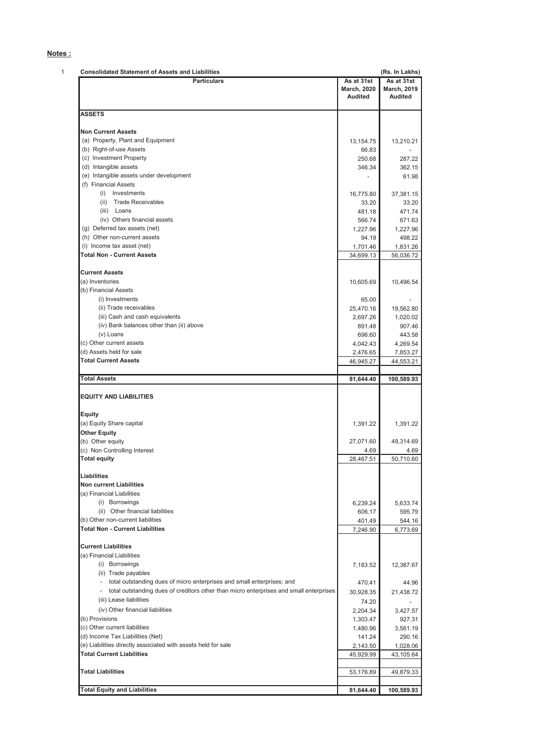### **Notes :**

| <b>Consolidated Statement of Assets and Liabilities</b><br><b>Particulars</b>          | As at 31st                    | (Rs. In Lakhs)<br>As at 31st  |
|----------------------------------------------------------------------------------------|-------------------------------|-------------------------------|
|                                                                                        |                               |                               |
|                                                                                        | <b>March, 2020</b><br>Audited | <b>March, 2019</b><br>Audited |
|                                                                                        |                               |                               |
| <b>ASSETS</b>                                                                          |                               |                               |
|                                                                                        |                               |                               |
| <b>Non Current Assets</b><br>(a) Property, Plant and Equipment                         |                               |                               |
| (b) Right-of-use Assets                                                                | 13,154.75<br>66.83            | 13,210.21                     |
| (c) Investment Property                                                                | 250.68                        | 287.22                        |
| (d) Intangible assets                                                                  |                               |                               |
| (e) Intangible assets under development                                                | 346.34                        | 362.15                        |
| (f) Financial Assets                                                                   | $\overline{\phantom{a}}$      | 61.98                         |
| (i) Investments                                                                        | 16,775.80                     |                               |
| (ii) Trade Receivables                                                                 |                               | 37,381.15                     |
| (iii) Loans                                                                            | 33.20<br>481.18               | 33.20<br>471.74               |
| (iv) Others financial assets                                                           |                               |                               |
| (g) Deferred tax assets (net)                                                          | 566.74                        | 671.63                        |
| (h) Other non-current assets                                                           | 1,227.96                      | 1,227.96                      |
|                                                                                        | 94.19                         | 498.22                        |
| (i) Income tax asset (net)<br><b>Total Non - Current Assets</b>                        | 1,701.46                      | 1,831.26                      |
|                                                                                        | 34,699.13                     | 56,036.72                     |
| <b>Current Assets</b>                                                                  |                               |                               |
| (a) Inventories                                                                        | 10,605.69                     | 10,496.54                     |
| (b) Financial Assets                                                                   |                               |                               |
| (i) Investments                                                                        | 65.00                         |                               |
| (ii) Trade receivables                                                                 | 25,470.16                     | 19,562.80                     |
| (iii) Cash and cash equivalents                                                        | 2,697.26                      | 1,020.02                      |
| (iv) Bank balances other than (ii) above                                               | 891.48                        | 907.46                        |
| (v) Loans                                                                              | 696.60                        | 443.58                        |
| (c) Other current assets                                                               | 4,042.43                      | 4,269.54                      |
| (d) Assets held for sale                                                               | 2,476.65                      | 7,853.27                      |
| <b>Total Current Assets</b>                                                            | 46,945.27                     | 44,553.21                     |
|                                                                                        |                               |                               |
| <b>Total Assets</b>                                                                    | 81,644.40                     | 100,589.93                    |
| <b>EQUITY AND LIABILITIES</b><br><b>Equity</b>                                         |                               |                               |
| (a) Equity Share capital                                                               | 1,391.22                      | 1,391.22                      |
| <b>Other Equity</b>                                                                    |                               |                               |
| (b) Other equity                                                                       | 27,071.60                     | 49,314.69                     |
| (c) Non Controlling Interest                                                           | 4.69                          |                               |
| <b>Total equity</b>                                                                    | 28,467.51                     | 50,710.60                     |
|                                                                                        |                               |                               |
| Liabilities                                                                            |                               |                               |
| <b>Non current Liabilities</b>                                                         |                               |                               |
| (a) Financial Liabilities                                                              |                               |                               |
| (i) Borrowings                                                                         | 6,239.24                      | 5,633.74                      |
| (ii) Other financial liabilities                                                       | 606.17                        | 595.79                        |
| (b) Other non-current liabilities                                                      | 401.49                        | 544.16                        |
| <b>Total Non - Current Liabilities</b>                                                 | 7,246.90                      | 6,773.69                      |
| <b>Current Liabilities</b>                                                             |                               |                               |
|                                                                                        |                               |                               |
| (a) Financial Liabilities                                                              |                               |                               |
| (i) Borrowings                                                                         | 7,183.52                      | 12,387.67                     |
| (ii) Trade payables                                                                    |                               |                               |
| - total outstanding dues of micro enterprises and small enterprises; and               | 470.41                        | 44.96                         |
| total outstanding dues of creditors other than micro enterprises and small enterprises | 30,928.35                     | 21,438.72                     |
| (iii) Lease liabilities                                                                | 74.20                         |                               |
| (iv) Other financial liabilities                                                       | 2,204.34                      | 3,427.57                      |
| (b) Provisions                                                                         | 1,303.47                      | 927.31                        |
| (c) Other current liabilities                                                          | 1,480.96                      | 3,561.19                      |
| (d) Income Tax Liabilities (Net)                                                       | 141.24                        | 290.16                        |
| (e) Liabilities directly associated with assets held for sale                          | 2,143.50                      | 1,028.06                      |
| <b>Total Current Liabilities</b>                                                       | 45,929.99                     | 43,105.64                     |
|                                                                                        |                               |                               |
| <b>Total Liabilities</b>                                                               | 53,176.89                     | 49,879.33                     |
|                                                                                        |                               |                               |
| <b>Total Equity and Liabilities</b>                                                    | 81,644.40                     | 100,589.93                    |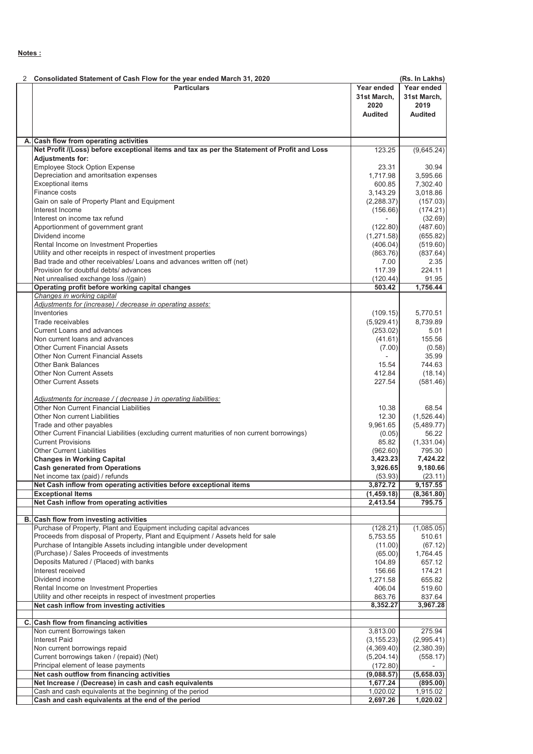| 2  | Consolidated Statement of Cash Flow for the year ended March 31, 2020                                              |                        | (Rs. In Lakhs)      |
|----|--------------------------------------------------------------------------------------------------------------------|------------------------|---------------------|
|    | <b>Particulars</b>                                                                                                 | Year ended             | Year ended          |
|    |                                                                                                                    | 31st March,            | 31st March,         |
|    |                                                                                                                    | 2020                   | 2019                |
|    |                                                                                                                    | <b>Audited</b>         | <b>Audited</b>      |
|    |                                                                                                                    |                        |                     |
| А. | Cash flow from operating activities                                                                                |                        |                     |
|    | Net Profit /(Loss) before exceptional items and tax as per the Statement of Profit and Loss                        | 123.25                 | (9,645.24)          |
|    | <b>Adjustments for:</b>                                                                                            |                        |                     |
|    | Employee Stock Option Expense<br>Depreciation and amoritsation expenses                                            | 23.31<br>1.717.98      | 30.94<br>3,595.66   |
|    | <b>Exceptional items</b>                                                                                           | 600.85                 | 7,302.40            |
|    | Finance costs                                                                                                      | 3,143.29               | 3,018.86            |
|    | Gain on sale of Property Plant and Equipment                                                                       | (2, 288.37)            | (157.03)            |
|    | Interest Income                                                                                                    | (156.66)               | (174.21)            |
|    | Interest on income tax refund<br>Apportionment of government grant                                                 | (122.80)               | (32.69)<br>(487.60) |
|    | Dividend income                                                                                                    | (1,271.58)             | (655.82)            |
|    | Rental Income on Investment Properties                                                                             | (406.04)               | (519.60)            |
|    | Utility and other receipts in respect of investment properties                                                     | (863.76)               | (837.64)            |
|    | Bad trade and other receivables/ Loans and advances written off (net)                                              | 7.00                   | 2.35                |
|    | Provision for doubtful debts/ advances                                                                             | 117.39                 | 224.11              |
|    | Net unrealised exchange loss /(gain)<br>Operating profit before working capital changes                            | (120.44)<br>503.42     | 91.95<br>1,756.44   |
|    | Changes in working capital                                                                                         |                        |                     |
|    | Adjustments for (increase) / decrease in operating assets:                                                         |                        |                     |
|    | Inventories                                                                                                        | (109.15)               | 5,770.51            |
|    | Trade receivables                                                                                                  | (5,929.41)             | 8,739.89            |
|    | <b>Current Loans and advances</b><br>Non current loans and advances                                                | (253.02)<br>(41.61)    | 5.01<br>155.56      |
|    | <b>Other Current Financial Assets</b>                                                                              | (7.00)                 | (0.58)              |
|    | Other Non Current Financial Assets                                                                                 |                        | 35.99               |
|    | <b>Other Bank Balances</b>                                                                                         | 15.54                  | 744.63              |
|    | <b>Other Non Current Assets</b>                                                                                    | 412.84                 | (18.14)             |
|    | <b>Other Current Assets</b>                                                                                        | 227.54                 | (581.46)            |
|    | Adjustments for increase / (decrease) in operating liabilities:                                                    |                        |                     |
|    | Other Non Current Financial Liabilities                                                                            | 10.38                  | 68.54               |
|    | Other Non current Liabilities                                                                                      | 12.30                  | (1,526.44)          |
|    | Trade and other payables                                                                                           | 9,961.65               | (5,489.77)          |
|    | Other Current Financial Liabilities (excluding current maturities of non current borrowings)                       | (0.05)                 | 56.22               |
|    | <b>Current Provisions</b>                                                                                          | 85.82                  | (1,331.04)          |
|    | <b>Other Current Liabilities</b><br><b>Changes in Working Capital</b>                                              | (962.60)<br>3,423.23   | 795.30<br>7,424.22  |
|    | <b>Cash generated from Operations</b>                                                                              | 3,926.65               | 9,180.66            |
|    | Net income tax (paid) / refunds                                                                                    | (53.93)                | (23.11)             |
|    | Net Cash inflow from operating activities before exceptional items                                                 | 3,872.72               | 9,157.55            |
|    | <b>Exceptional Items</b><br>Net Cash inflow from operating activities                                              | (1,459.18)             | (8,361.80)          |
|    |                                                                                                                    | 2,413.54               | 795.75              |
|    | <b>B.</b> Cash flow from investing activities                                                                      |                        |                     |
|    | Purchase of Property, Plant and Equipment including capital advances                                               | (128.21)               | (1,085.05)          |
|    | Proceeds from disposal of Property, Plant and Equipment / Assets held for sale                                     | 5,753.55               | 510.61              |
|    | Purchase of Intangible Assets including intangible under development<br>(Purchase) / Sales Proceeds of investments | (11.00)<br>(65.00)     | (67.12)             |
|    | Deposits Matured / (Placed) with banks                                                                             | 104.89                 | 1,764.45<br>657.12  |
|    | Interest received                                                                                                  | 156.66                 | 174.21              |
|    | Dividend income                                                                                                    | 1,271.58               | 655.82              |
|    | Rental Income on Investment Properties                                                                             | 406.04                 | 519.60              |
|    | Utility and other receipts in respect of investment properties<br>Net cash inflow from investing activities        | 863.76<br>8,352.27     | 837.64<br>3,967.28  |
|    |                                                                                                                    |                        |                     |
|    | C. Cash flow from financing activities                                                                             |                        |                     |
|    | Non current Borrowings taken                                                                                       | 3,813.00               | 275.94              |
|    | <b>Interest Paid</b>                                                                                               | (3, 155.23)            | (2,995.41)          |
|    | Non current borrowings repaid<br>Current borrowings taken / (repaid) (Net)                                         | (4,369.40)             | (2,380.39)          |
|    | Principal element of lease payments                                                                                | (5,204.14)<br>(172.80) | (558.17)            |
|    | Net cash outflow from financing activities                                                                         | (9,088.57)             | (5,658.03)          |
|    | Net Increase / (Decrease) in cash and cash equivalents                                                             | 1,677.24               | (895.00)            |
|    | Cash and cash equivalents at the beginning of the period                                                           | 1,020.02               | 1,915.02            |
|    | Cash and cash equivalents at the end of the period                                                                 | 2,697.26               | 1,020.02            |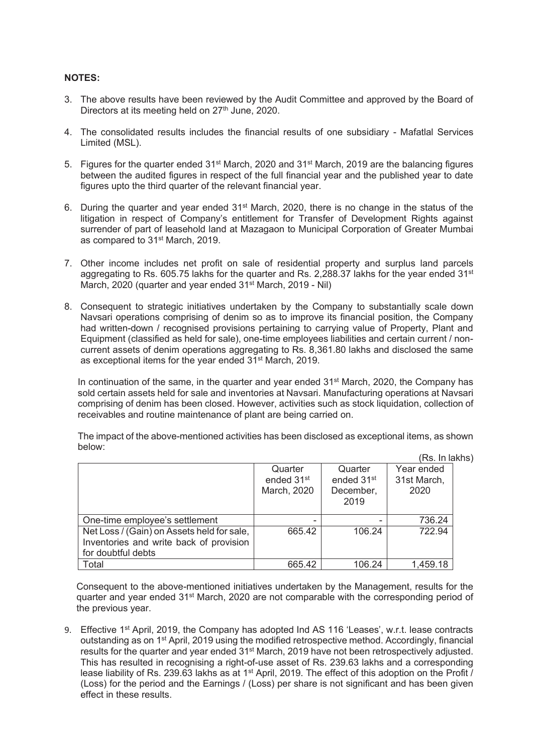### **NOTES:**

- 3. The above results have been reviewed by the Audit Committee and approved by the Board of Directors at its meeting held on  $27<sup>th</sup>$  June, 2020.
- 4. The consolidated results includes the financial results of one subsidiary Mafatlal Services Limited (MSL).
- 5. Figures for the quarter ended 31<sup>st</sup> March, 2020 and 31<sup>st</sup> March, 2019 are the balancing figures between the audited figures in respect of the full financial year and the published year to date figures upto the third quarter of the relevant financial year.
- 6. During the quarter and year ended 31<sup>st</sup> March, 2020, there is no change in the status of the litigation in respect of Company's entitlement for Transfer of Development Rights against surrender of part of leasehold land at Mazagaon to Municipal Corporation of Greater Mumbai as compared to 31st March, 2019.
- 7. Other income includes net profit on sale of residential property and surplus land parcels aggregating to Rs. 605.75 lakhs for the quarter and Rs. 2,288.37 lakhs for the year ended  $31<sup>st</sup>$ March, 2020 (quarter and year ended 31<sup>st</sup> March, 2019 - Nil)
- 8. Consequent to strategic initiatives undertaken by the Company to substantially scale down Navsari operations comprising of denim so as to improve its financial position, the Company had written-down / recognised provisions pertaining to carrying value of Property, Plant and Equipment (classified as held for sale), one-time employees liabilities and certain current / noncurrent assets of denim operations aggregating to Rs. 8,361.80 lakhs and disclosed the same as exceptional items for the year ended 31st March, 2019.

In continuation of the same, in the quarter and year ended  $31<sup>st</sup>$  March, 2020, the Company has sold certain assets held for sale and inventories at Navsari. Manufacturing operations at Navsari comprising of denim has been closed. However, activities such as stock liquidation, collection of receivables and routine maintenance of plant are being carried on.

The impact of the above-mentioned activities has been disclosed as exceptional items, as shown below: (Rs. In lakhs)

|                                            |                        |                        | .           |
|--------------------------------------------|------------------------|------------------------|-------------|
|                                            | Quarter                | Quarter                | Year ended  |
|                                            | ended 31 <sup>st</sup> | ended 31 <sup>st</sup> | 31st March, |
|                                            | March, 2020            | December,              | 2020        |
|                                            |                        | 2019                   |             |
| One-time employee's settlement             |                        |                        | 736.24      |
| Net Loss / (Gain) on Assets held for sale, | 665.42                 | 106.24                 | 722.94      |
| Inventories and write back of provision    |                        |                        |             |
| for doubtful debts                         |                        |                        |             |
| Total                                      | 665.42                 | 106.24                 | 1,459.18    |

Consequent to the above-mentioned initiatives undertaken by the Management, results for the quarter and year ended 31<sup>st</sup> March, 2020 are not comparable with the corresponding period of the previous year.

9. Effective 1<sup>st</sup> April, 2019, the Company has adopted Ind AS 116 'Leases', w.r.t. lease contracts outstanding as on 1st April, 2019 using the modified retrospective method. Accordingly, financial results for the quarter and year ended 31st March, 2019 have not been retrospectively adjusted. This has resulted in recognising a right-of-use asset of Rs. 239.63 lakhs and a corresponding lease liability of Rs. 239.63 lakhs as at 1<sup>st</sup> April, 2019. The effect of this adoption on the Profit / (Loss) for the period and the Earnings / (Loss) per share is not significant and has been given effect in these results.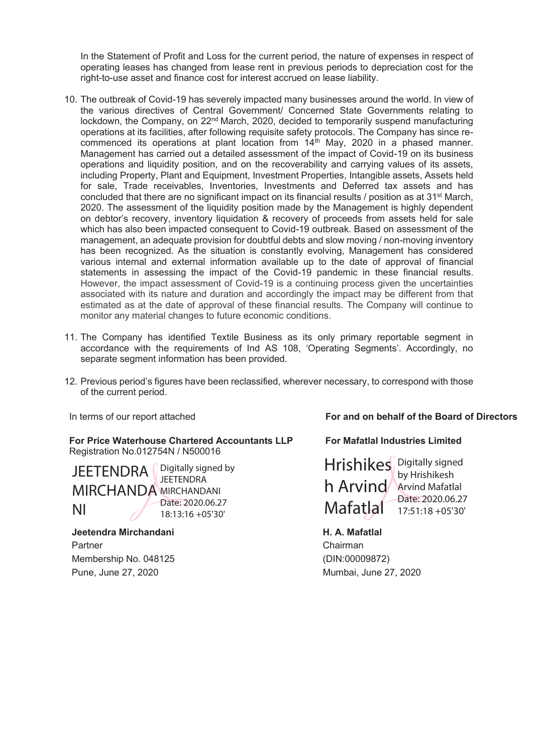In the Statement of Profit and Loss for the current period, the nature of expenses in respect of operating leases has changed from lease rent in previous periods to depreciation cost for the right-to-use asset and finance cost for interest accrued on lease liability.

- 10. The outbreak of Covid-19 has severely impacted many businesses around the world. In view of the various directives of Central Government/ Concerned State Governments relating to lockdown, the Company, on 22<sup>nd</sup> March, 2020, decided to temporarily suspend manufacturing operations at its facilities, after following requisite safety protocols. The Company has since recommenced its operations at plant location from 14<sup>th</sup> May, 2020 in a phased manner. Management has carried out a detailed assessment of the impact of Covid-19 on its business operations and liquidity position, and on the recoverability and carrying values of its assets, including Property, Plant and Equipment, Investment Properties, Intangible assets, Assets held for sale, Trade receivables, Inventories, Investments and Deferred tax assets and has concluded that there are no significant impact on its financial results / position as at 31st March, 2020. The assessment of the liquidity position made by the Management is highly dependent on debtor's recovery, inventory liquidation & recovery of proceeds from assets held for sale which has also been impacted consequent to Covid-19 outbreak. Based on assessment of the management, an adequate provision for doubtful debts and slow moving / non-moving inventory has been recognized. As the situation is constantly evolving, Management has considered various internal and external information available up to the date of approval of financial statements in assessing the impact of the Covid-19 pandemic in these financial results. However, the impact assessment of Covid-19 is a continuing process given the uncertainties associated with its nature and duration and accordingly the impact may be different from that estimated as at the date of approval of these financial results. The Company will continue to monitor any material changes to future economic conditions.
- 11. The Company has identified Textile Business as its only primary reportable segment in accordance with the requirements of Ind AS 108, 'Operating Segments'. Accordingly, no separate segment information has been provided.
- 12. Previous period's figures have been reclassified, wherever necessary, to correspond with those of the current period.

**For Price Waterhouse Chartered Accountants LLP** Registration No.012754N / N500016

**JEETENDRA**  $\int$  pigitally signed by MIRCHANDA MIRCHANDANI NI **JEETENDRA** Date: 2020.06.27 18:13:16 +05'30'

 **Jeetendra Mirchandani H. A. Mafatlal** Partner Chairman Chairman Membership No. 048125 (DIN:00009872)

In terms of our report attached **For and on behalf of the Board of Directors** 

 **For Mafatlal Industries Limited** 

Hrishikes Digitally signed h Arvind Arvind Mafatlal **Mafatlal** by Hrishikesh Date: 2020.06.27 17:51:18 +05'30'

Pune, June 27, 2020 Mumbai, June 27, 2020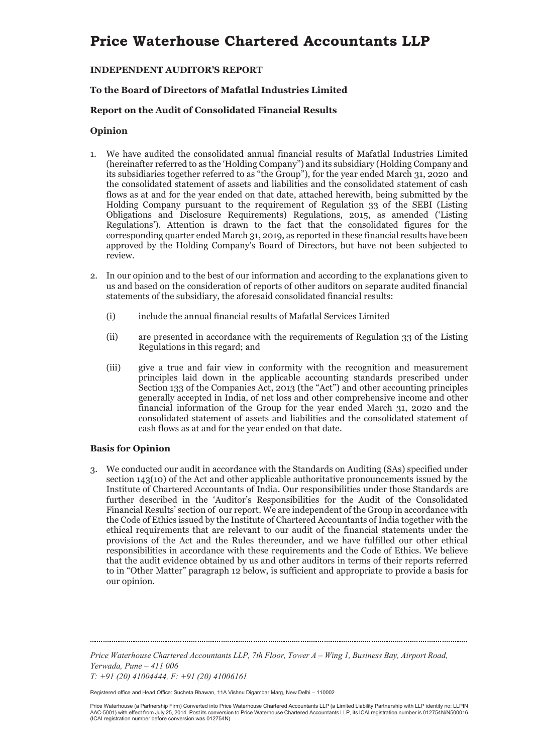### **INDEPENDENT AUDITOR'S REPORT**

### **To the Board of Directors of Mafatlal Industries Limited**

### **Report on the Audit of Consolidated Financial Results**

### **Opinion**

- 1. We have audited the consolidated annual financial results of Mafatlal Industries Limited (hereinafter referred to as the 'Holding Company") and its subsidiary (Holding Company and its subsidiaries together referred to as "the Group"), for the year ended March 31, 2020 and the consolidated statement of assets and liabilities and the consolidated statement of cash flows as at and for the year ended on that date, attached herewith, being submitted by the Holding Company pursuant to the requirement of Regulation 33 of the SEBI (Listing Obligations and Disclosure Requirements) Regulations, 2015, as amended ('Listing Regulations'). Attention is drawn to the fact that the consolidated figures for the corresponding quarter ended March 31, 2019, as reported in these financial results have been approved by the Holding Company's Board of Directors, but have not been subjected to review.
- 2. In our opinion and to the best of our information and according to the explanations given to us and based on the consideration of reports of other auditors on separate audited financial statements of the subsidiary, the aforesaid consolidated financial results:
	- (i) include the annual financial results of Mafatlal Services Limited
	- (ii) are presented in accordance with the requirements of Regulation 33 of the Listing Regulations in this regard; and
	- (iii) give a true and fair view in conformity with the recognition and measurement principles laid down in the applicable accounting standards prescribed under Section 133 of the Companies Act, 2013 (the "Act") and other accounting principles generally accepted in India, of net loss and other comprehensive income and other financial information of the Group for the year ended March 31, 2020 and the consolidated statement of assets and liabilities and the consolidated statement of cash flows as at and for the year ended on that date.

### **Basis for Opinion**

3. We conducted our audit in accordance with the Standards on Auditing (SAs) specified under section 143(10) of the Act and other applicable authoritative pronouncements issued by the Institute of Chartered Accountants of India. Our responsibilities under those Standards are further described in the 'Auditor's Responsibilities for the Audit of the Consolidated Financial Results' section of our report. We are independent of the Group in accordance with the Code of Ethics issued by the Institute of Chartered Accountants of India together with the ethical requirements that are relevant to our audit of the financial statements under the provisions of the Act and the Rules thereunder, and we have fulfilled our other ethical responsibilities in accordance with these requirements and the Code of Ethics. We believe that the audit evidence obtained by us and other auditors in terms of their reports referred to in "Other Matter" paragraph 12 below, is sufficient and appropriate to provide a basis for our opinion.

*Price Waterhouse Chartered Accountants LLP, 7th Floor, Tower A – Wing 1, Business Bay, Airport Road, Yerwada, Pune – 411 006* 

*T: +91 (20) 41004444, F: +91 (20) 41006161* 

Registered office and Head Office: Sucheta Bhawan, 11A Vishnu Digambar Marg, New Delhi – 110002

Price Waterhouse (a Partnership Firm) Converted into Price Waterhouse Chartered Accountants LLP (a Limited Liability Partnership with LLP identity no: LLPIN<br>AAC-5001) with effect from July 25, 2014. Post its conversion to (ICAI registration number before conversion was 012754N)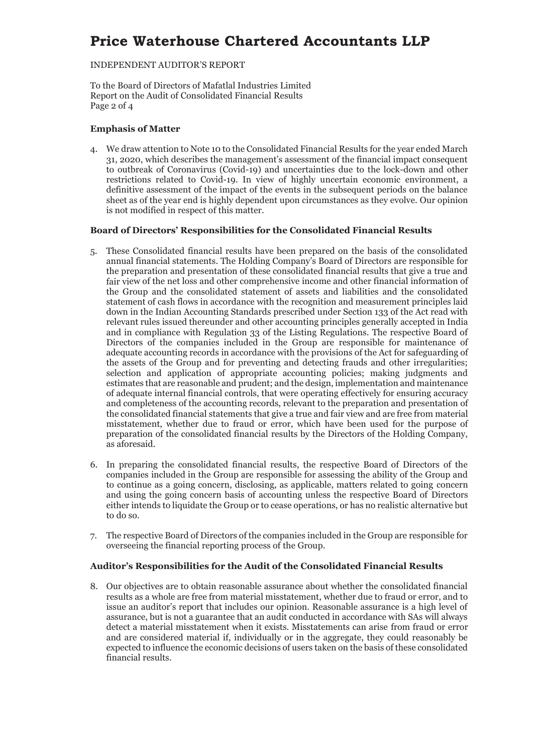### INDEPENDENT AUDITOR'S REPORT

To the Board of Directors of Mafatlal Industries Limited Report on the Audit of Consolidated Financial Results Page 2 of 4

### **Emphasis of Matter**

4. We draw attention to Note 10 to the Consolidated Financial Results for the year ended March 31, 2020, which describes the management's assessment of the financial impact consequent to outbreak of Coronavirus (Covid-19) and uncertainties due to the lock-down and other restrictions related to Covid-19. In view of highly uncertain economic environment, a definitive assessment of the impact of the events in the subsequent periods on the balance sheet as of the year end is highly dependent upon circumstances as they evolve. Our opinion is not modified in respect of this matter.

### **Board of Directors' Responsibilities for the Consolidated Financial Results**

- 5. These Consolidated financial results have been prepared on the basis of the consolidated annual financial statements. The Holding Company's Board of Directors are responsible for the preparation and presentation of these consolidated financial results that give a true and fair view of the net loss and other comprehensive income and other financial information of the Group and the consolidated statement of assets and liabilities and the consolidated statement of cash flows in accordance with the recognition and measurement principles laid down in the Indian Accounting Standards prescribed under Section 133 of the Act read with relevant rules issued thereunder and other accounting principles generally accepted in India and in compliance with Regulation 33 of the Listing Regulations. The respective Board of Directors of the companies included in the Group are responsible for maintenance of adequate accounting records in accordance with the provisions of the Act for safeguarding of the assets of the Group and for preventing and detecting frauds and other irregularities; selection and application of appropriate accounting policies; making judgments and estimates that are reasonable and prudent; and the design, implementation and maintenance of adequate internal financial controls, that were operating effectively for ensuring accuracy and completeness of the accounting records, relevant to the preparation and presentation of the consolidated financial statements that give a true and fair view and are free from material misstatement, whether due to fraud or error, which have been used for the purpose of preparation of the consolidated financial results by the Directors of the Holding Company, as aforesaid.
- 6. In preparing the consolidated financial results, the respective Board of Directors of the companies included in the Group are responsible for assessing the ability of the Group and to continue as a going concern, disclosing, as applicable, matters related to going concern and using the going concern basis of accounting unless the respective Board of Directors either intends to liquidate the Group or to cease operations, or has no realistic alternative but to do so.
- 7. The respective Board of Directors of the companies included in the Group are responsible for overseeing the financial reporting process of the Group.

### **Auditor's Responsibilities for the Audit of the Consolidated Financial Results**

8. Our objectives are to obtain reasonable assurance about whether the consolidated financial results as a whole are free from material misstatement, whether due to fraud or error, and to issue an auditor's report that includes our opinion. Reasonable assurance is a high level of assurance, but is not a guarantee that an audit conducted in accordance with SAs will always detect a material misstatement when it exists. Misstatements can arise from fraud or error and are considered material if, individually or in the aggregate, they could reasonably be expected to influence the economic decisions of users taken on the basis of these consolidated financial results.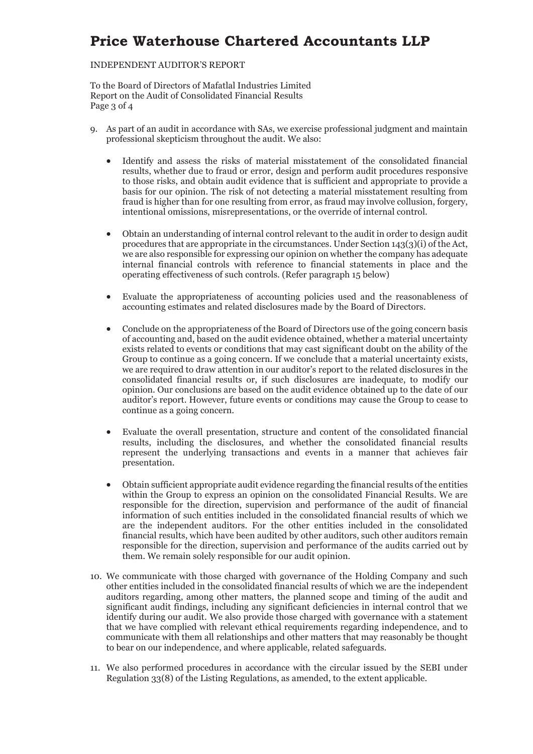### INDEPENDENT AUDITOR'S REPORT

To the Board of Directors of Mafatlal Industries Limited Report on the Audit of Consolidated Financial Results Page 3 of 4

- 9. As part of an audit in accordance with SAs, we exercise professional judgment and maintain professional skepticism throughout the audit. We also:
	- Identify and assess the risks of material misstatement of the consolidated financial results, whether due to fraud or error, design and perform audit procedures responsive to those risks, and obtain audit evidence that is sufficient and appropriate to provide a basis for our opinion. The risk of not detecting a material misstatement resulting from fraud is higher than for one resulting from error, as fraud may involve collusion, forgery, intentional omissions, misrepresentations, or the override of internal control.
	- x Obtain an understanding of internal control relevant to the audit in order to design audit procedures that are appropriate in the circumstances. Under Section 143(3)(i) of the Act, we are also responsible for expressing our opinion on whether the company has adequate internal financial controls with reference to financial statements in place and the operating effectiveness of such controls. (Refer paragraph 15 below)
	- x Evaluate the appropriateness of accounting policies used and the reasonableness of accounting estimates and related disclosures made by the Board of Directors.
	- x Conclude on the appropriateness of the Board of Directors use of the going concern basis of accounting and, based on the audit evidence obtained, whether a material uncertainty exists related to events or conditions that may cast significant doubt on the ability of the Group to continue as a going concern. If we conclude that a material uncertainty exists, we are required to draw attention in our auditor's report to the related disclosures in the consolidated financial results or, if such disclosures are inadequate, to modify our opinion. Our conclusions are based on the audit evidence obtained up to the date of our auditor's report. However, future events or conditions may cause the Group to cease to continue as a going concern.
	- x Evaluate the overall presentation, structure and content of the consolidated financial results, including the disclosures, and whether the consolidated financial results represent the underlying transactions and events in a manner that achieves fair presentation.
	- Obtain sufficient appropriate audit evidence regarding the financial results of the entities within the Group to express an opinion on the consolidated Financial Results. We are responsible for the direction, supervision and performance of the audit of financial information of such entities included in the consolidated financial results of which we are the independent auditors. For the other entities included in the consolidated financial results, which have been audited by other auditors, such other auditors remain responsible for the direction, supervision and performance of the audits carried out by them. We remain solely responsible for our audit opinion.
- 10. We communicate with those charged with governance of the Holding Company and such other entities included in the consolidated financial results of which we are the independent auditors regarding, among other matters, the planned scope and timing of the audit and significant audit findings, including any significant deficiencies in internal control that we identify during our audit. We also provide those charged with governance with a statement that we have complied with relevant ethical requirements regarding independence, and to communicate with them all relationships and other matters that may reasonably be thought to bear on our independence, and where applicable, related safeguards.
- 11. We also performed procedures in accordance with the circular issued by the SEBI under Regulation 33(8) of the Listing Regulations, as amended, to the extent applicable.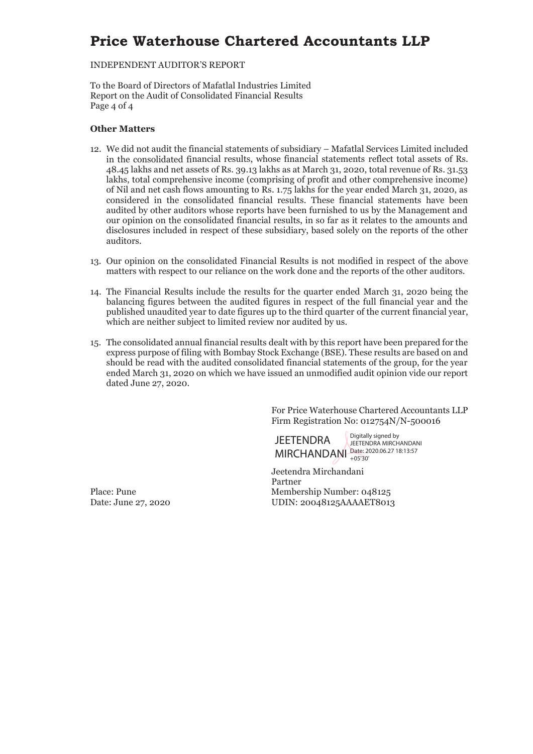### INDEPENDENT AUDITOR'S REPORT

To the Board of Directors of Mafatlal Industries Limited Report on the Audit of Consolidated Financial Results Page 4 of 4

### **Other Matters**

- 12. We did not audit the financial statements of subsidiary Mafatlal Services Limited included in the consolidated financial results, whose financial statements reflect total assets of Rs. 48.45 lakhs and net assets of Rs. 39.13 lakhs as at March 31, 2020, total revenue of Rs. 31.53 lakhs, total comprehensive income (comprising of profit and other comprehensive income) of Nil and net cash flows amounting to Rs. 1.75 lakhs for the year ended March 31, 2020, as considered in the consolidated financial results. These financial statements have been audited by other auditors whose reports have been furnished to us by the Management and our opinion on the consolidated financial results, in so far as it relates to the amounts and disclosures included in respect of these subsidiary, based solely on the reports of the other auditors.
- 13. Our opinion on the consolidated Financial Results is not modified in respect of the above matters with respect to our reliance on the work done and the reports of the other auditors.
- 14. The Financial Results include the results for the quarter ended March 31, 2020 being the balancing figures between the audited figures in respect of the full financial year and the published unaudited year to date figures up to the third quarter of the current financial year, which are neither subject to limited review nor audited by us.
- 15. The consolidated annual financial results dealt with by this report have been prepared for the express purpose of filing with Bombay Stock Exchange (BSE). These results are based on and should be read with the audited consolidated financial statements of the group, for the year ended March 31, 2020 on which we have issued an unmodified audit opinion vide our report dated June 27, 2020.

For Price Waterhouse Chartered Accountants LLP Firm Registration No: 012754N/N-500016

**JEFTENDRA** MIRCHANDANI Date: 2020.06.27 18:13:57 Digitally signed by JEETENDRA MIRCHANDANI +05'30'

Jeetendra Mirchandani Partner Place: Pune Membership Number: 048125 Date: June 27, 2020 UDIN: 20048125AAAAET8013